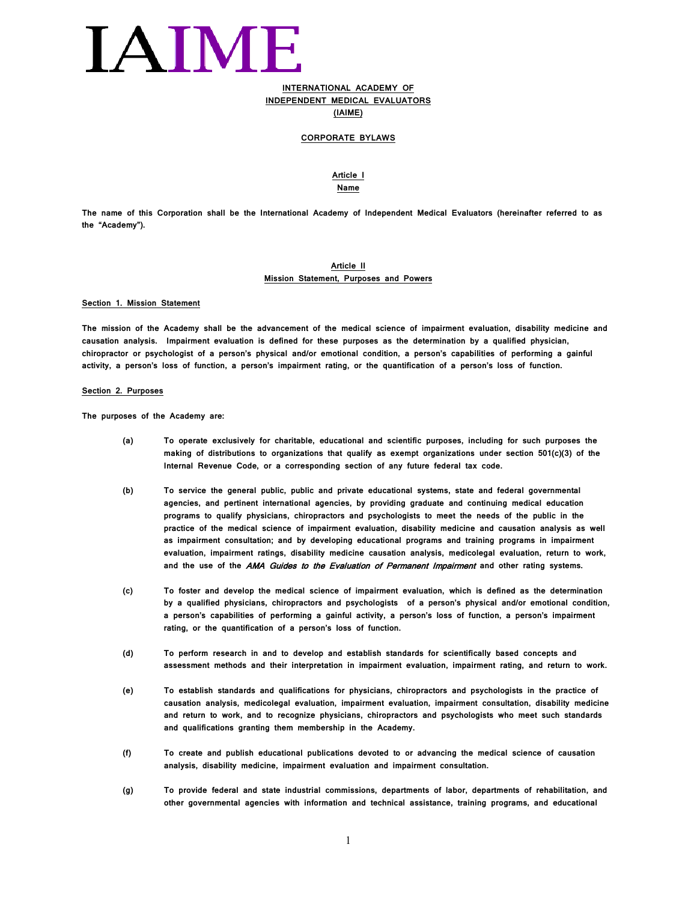## IAIME

## **INTERNATIONAL ACADEMY OF INDEPENDENT MEDICAL EVALUATORS**

**(IAIME)**

#### **CORPORATE BYLAWS**

## **Article I**

**Name**

**The name of this Corporation shall be the International Academy of Independent Medical Evaluators (hereinafter referred to as the "Academy").**

#### **Article II Mission Statement, Purposes and Powers**

#### **Section 1. Mission Statement**

**The mission of the Academy shall be the advancement of the medical science of impairment evaluation, disability medicine and causation analysis. Impairment evaluation is defined for these purposes as the determination by a qualified physician, chiropractor or psychologist of a person's physical and/or emotional condition, a person's capabilities of performing a gainful activity, a person's loss of function, a person's impairment rating, or the quantification of a person's loss of function.**

#### **Section 2. Purposes**

**The purposes of the Academy are:**

- **(a) To operate exclusively for charitable, educational and scientific purposes, including for such purposes the making of distributions to organizations that qualify as exempt organizations under section 501(c)(3) of the Internal Revenue Code, or a corresponding section of any future federal tax code.**
- **(b) To service the general public, public and private educational systems, state and federal governmental agencies, and pertinent international agencies, by providing graduate and continuing medical education programs to qualify physicians, chiropractors and psychologists to meet the needs of the public in the practice of the medical science of impairment evaluation, disability medicine and causation analysis as well as impairment consultation; and by developing educational programs and training programs in impairment evaluation, impairment ratings, disability medicine causation analysis, medicolegal evaluation, return to work, and the use of the** AMA Guides to the Evaluation of Permanent Impairment **and other rating systems.**
- **(c) To foster and develop the medical science of impairment evaluation, which is defined as the determination by a qualified physicians, chiropractors and psychologists of a person's physical and/or emotional condition, a person's capabilities of performing a gainful activity, a person's loss of function, a person's impairment rating, or the quantification of a person's loss of function.**
- **(d) To perform research in and to develop and establish standards for scientifically based concepts and assessment methods and their interpretation in impairment evaluation, impairment rating, and return to work.**
- **(e) To establish standards and qualifications for physicians, chiropractors and psychologists in the practice of causation analysis, medicolegal evaluation, impairment evaluation, impairment consultation, disability medicine and return to work, and to recognize physicians, chiropractors and psychologists who meet such standards and qualifications granting them membership in the Academy.**
- **(f) To create and publish educational publications devoted to or advancing the medical science of causation analysis, disability medicine, impairment evaluation and impairment consultation.**
- **(g) To provide federal and state industrial commissions, departments of labor, departments of rehabilitation, and other governmental agencies with information and technical assistance, training programs, and educational**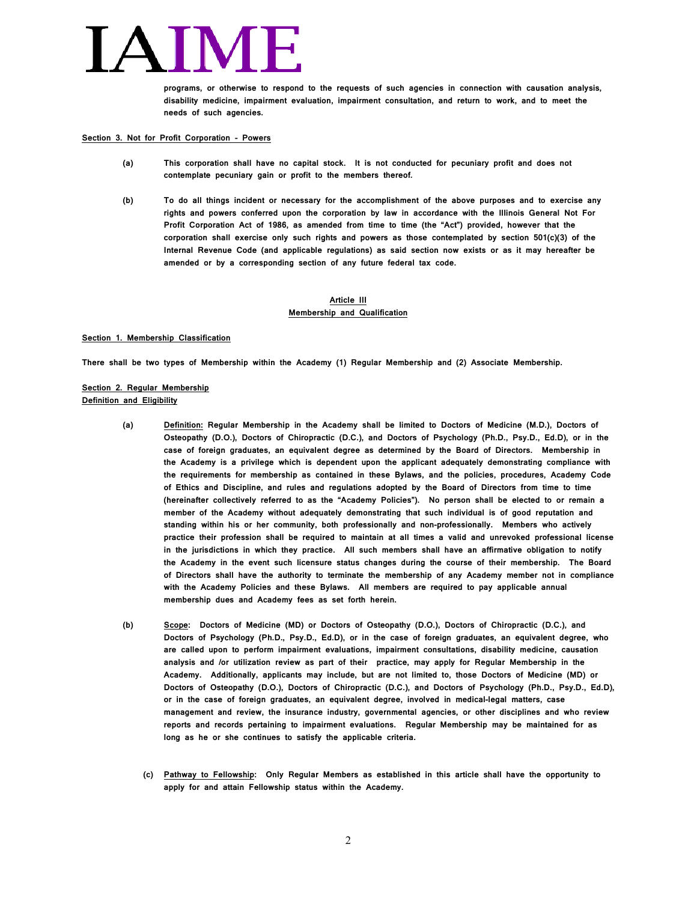**programs, or otherwise to respond to the requests of such agencies in connection with causation analysis, disability medicine, impairment evaluation, impairment consultation, and return to work, and to meet the needs of such agencies.**

**Section 3. Not for Profit Corporation - Powers**

- **(a) This corporation shall have no capital stock. It is not conducted for pecuniary profit and does not contemplate pecuniary gain or profit to the members thereof.**
- **(b) To do all things incident or necessary for the accomplishment of the above purposes and to exercise any rights and powers conferred upon the corporation by law in accordance with the Illinois General Not For Profit Corporation Act of 1986, as amended from time to time (the "Act") provided, however that the corporation shall exercise only such rights and powers as those contemplated by section 501(c)(3) of the Internal Revenue Code (and applicable regulations) as said section now exists or as it may hereafter be amended or by a corresponding section of any future federal tax code.**

### **Article III Membership and Qualification**

#### **Section 1. Membership Classification**

**There shall be two types of Membership within the Academy (1) Regular Membership and (2) Associate Membership.**

### **Section 2. Regular Membership Definition and Eligibility**

- **(a) Definition: Regular Membership in the Academy shall be limited to Doctors of Medicine (M.D.), Doctors of Osteopathy (D.O.), Doctors of Chiropractic (D.C.), and Doctors of Psychology (Ph.D., Psy.D., Ed.D), or in the case of foreign graduates, an equivalent degree as determined by the Board of Directors. Membership in the Academy is a privilege which is dependent upon the applicant adequately demonstrating compliance with the requirements for membership as contained in these Bylaws, and the policies, procedures, Academy Code of Ethics and Discipline, and rules and regulations adopted by the Board of Directors from time to time (hereinafter collectively referred to as the "Academy Policies"). No person shall be elected to or remain a member of the Academy without adequately demonstrating that such individual is of good reputation and standing within his or her community, both professionally and non-professionally. Members who actively practice their profession shall be required to maintain at all times a valid and unrevoked professional license in the jurisdictions in which they practice. All such members shall have an affirmative obligation to notify the Academy in the event such licensure status changes during the course of their membership. The Board of Directors shall have the authority to terminate the membership of any Academy member not in compliance with the Academy Policies and these Bylaws. All members are required to pay applicable annual membership dues and Academy fees as set forth herein.**
- **(b) Scope: Doctors of Medicine (MD) or Doctors of Osteopathy (D.O.), Doctors of Chiropractic (D.C.), and Doctors of Psychology (Ph.D., Psy.D., Ed.D), or in the case of foreign graduates, an equivalent degree, who are called upon to perform impairment evaluations, impairment consultations, disability medicine, causation analysis and /or utilization review as part of their practice, may apply for Regular Membership in the Academy. Additionally, applicants may include, but are not limited to, those Doctors of Medicine (MD) or Doctors of Osteopathy (D.O.), Doctors of Chiropractic (D.C.), and Doctors of Psychology (Ph.D., Psy.D., Ed.D), or in the case of foreign graduates, an equivalent degree, involved in medical-legal matters, case management and review, the insurance industry, governmental agencies, or other disciplines and who review reports and records pertaining to impairment evaluations. Regular Membership may be maintained for as long as he or she continues to satisfy the applicable criteria.**
	- **(c) Pathway to Fellowship: Only Regular Members as established in this article shall have the opportunity to apply for and attain Fellowship status within the Academy.**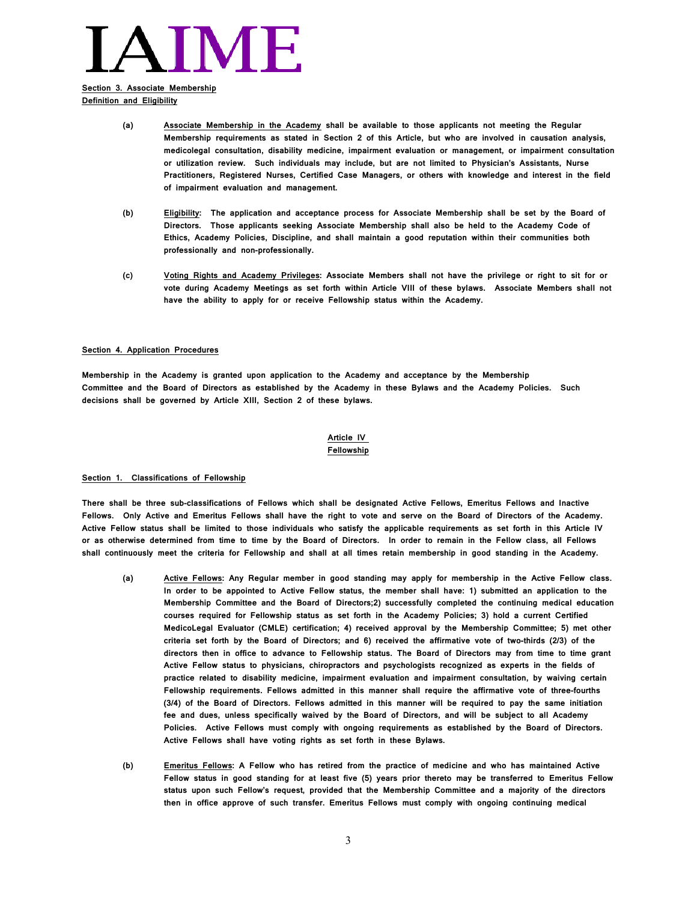## VIME.

### **Section 3. Associate Membership Definition and Eligibility**

- **(a) Associate Membership in the Academy shall be available to those applicants not meeting the Regular Membership requirements as stated in Section 2 of this Article, but who are involved in causation analysis, medicolegal consultation, disability medicine, impairment evaluation or management, or impairment consultation or utilization review. Such individuals may include, but are not limited to Physician's Assistants, Nurse Practitioners, Registered Nurses, Certified Case Managers, or others with knowledge and interest in the field of impairment evaluation and management.**
- **(b) Eligibility: The application and acceptance process for Associate Membership shall be set by the Board of Directors. Those applicants seeking Associate Membership shall also be held to the Academy Code of Ethics, Academy Policies, Discipline, and shall maintain a good reputation within their communities both professionally and non-professionally.**
- **(c) Voting Rights and Academy Privileges: Associate Members shall not have the privilege or right to sit for or vote during Academy Meetings as set forth within Article VIII of these bylaws. Associate Members shall not have the ability to apply for or receive Fellowship status within the Academy.**

#### **Section 4. Application Procedures**

**Membership in the Academy is granted upon application to the Academy and acceptance by the Membership Committee and the Board of Directors as established by the Academy in these Bylaws and the Academy Policies. Such decisions shall be governed by Article XIII, Section 2 of these bylaws.** 

### **Article IV Fellowship**

#### **Section 1. Classifications of Fellowship**

**There shall be three sub-classifications of Fellows which shall be designated Active Fellows, Emeritus Fellows and Inactive Fellows. Only Active and Emeritus Fellows shall have the right to vote and serve on the Board of Directors of the Academy. Active Fellow status shall be limited to those individuals who satisfy the applicable requirements as set forth in this Article IV or as otherwise determined from time to time by the Board of Directors. In order to remain in the Fellow class, all Fellows shall continuously meet the criteria for Fellowship and shall at all times retain membership in good standing in the Academy.**

- **(a) Active Fellows: Any Regular member in good standing may apply for membership in the Active Fellow class. In order to be appointed to Active Fellow status, the member shall have: 1) submitted an application to the Membership Committee and the Board of Directors;2) successfully completed the continuing medical education courses required for Fellowship status as set forth in the Academy Policies; 3) hold a current Certified MedicoLegal Evaluator (CMLE) certification; 4) received approval by the Membership Committee; 5) met other criteria set forth by the Board of Directors; and 6) received the affirmative vote of two-thirds (2/3) of the directors then in office to advance to Fellowship status. The Board of Directors may from time to time grant Active Fellow status to physicians, chiropractors and psychologists recognized as experts in the fields of practice related to disability medicine, impairment evaluation and impairment consultation, by waiving certain Fellowship requirements. Fellows admitted in this manner shall require the affirmative vote of three-fourths (3/4) of the Board of Directors. Fellows admitted in this manner will be required to pay the same initiation fee and dues, unless specifically waived by the Board of Directors, and will be subject to all Academy Policies. Active Fellows must comply with ongoing requirements as established by the Board of Directors. Active Fellows shall have voting rights as set forth in these Bylaws.**
- **(b) Emeritus Fellows: A Fellow who has retired from the practice of medicine and who has maintained Active Fellow status in good standing for at least five (5) years prior thereto may be transferred to Emeritus Fellow status upon such Fellow's request, provided that the Membership Committee and a majority of the directors then in office approve of such transfer. Emeritus Fellows must comply with ongoing continuing medical**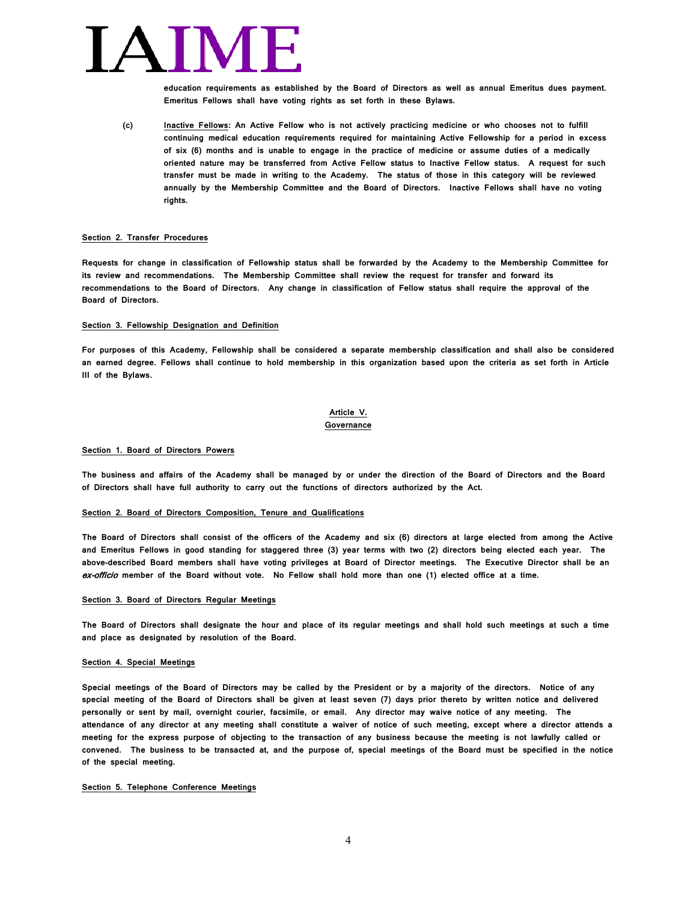## AIN

**education requirements as established by the Board of Directors as well as annual Emeritus dues payment. Emeritus Fellows shall have voting rights as set forth in these Bylaws.**

**(c) Inactive Fellows: An Active Fellow who is not actively practicing medicine or who chooses not to fulfill continuing medical education requirements required for maintaining Active Fellowship for a period in excess of six (6) months and is unable to engage in the practice of medicine or assume duties of a medically oriented nature may be transferred from Active Fellow status to Inactive Fellow status. A request for such transfer must be made in writing to the Academy. The status of those in this category will be reviewed annually by the Membership Committee and the Board of Directors. Inactive Fellows shall have no voting rights.**

#### **Section 2. Transfer Procedures**

**Requests for change in classification of Fellowship status shall be forwarded by the Academy to the Membership Committee for its review and recommendations. The Membership Committee shall review the request for transfer and forward its recommendations to the Board of Directors. Any change in classification of Fellow status shall require the approval of the Board of Directors.**

#### **Section 3. Fellowship Designation and Definition**

**For purposes of this Academy, Fellowship shall be considered a separate membership classification and shall also be considered an earned degree. Fellows shall continue to hold membership in this organization based upon the criteria as set forth in Article III of the Bylaws.**

#### **Article V. Governance**

#### **Section 1. Board of Directors Powers**

**The business and affairs of the Academy shall be managed by or under the direction of the Board of Directors and the Board of Directors shall have full authority to carry out the functions of directors authorized by the Act.**

#### **Section 2. Board of Directors Composition, Tenure and Qualifications**

**The Board of Directors shall consist of the officers of the Academy and six (6) directors at large elected from among the Active and Emeritus Fellows in good standing for staggered three (3) year terms with two (2) directors being elected each year. The above-described Board members shall have voting privileges at Board of Director meetings. The Executive Director shall be an**  ex-officio **member of the Board without vote. No Fellow shall hold more than one (1) elected office at a time.**

#### **Section 3. Board of Directors Regular Meetings**

**The Board of Directors shall designate the hour and place of its regular meetings and shall hold such meetings at such a time and place as designated by resolution of the Board.**

#### **Section 4. Special Meetings**

**Special meetings of the Board of Directors may be called by the President or by a majority of the directors. Notice of any special meeting of the Board of Directors shall be given at least seven (7) days prior thereto by written notice and delivered personally or sent by mail, overnight courier, facsimile, or email. Any director may waive notice of any meeting. The attendance of any director at any meeting shall constitute a waiver of notice of such meeting, except where a director attends a meeting for the express purpose of objecting to the transaction of any business because the meeting is not lawfully called or convened. The business to be transacted at, and the purpose of, special meetings of the Board must be specified in the notice of the special meeting.**

#### **Section 5. Telephone Conference Meetings**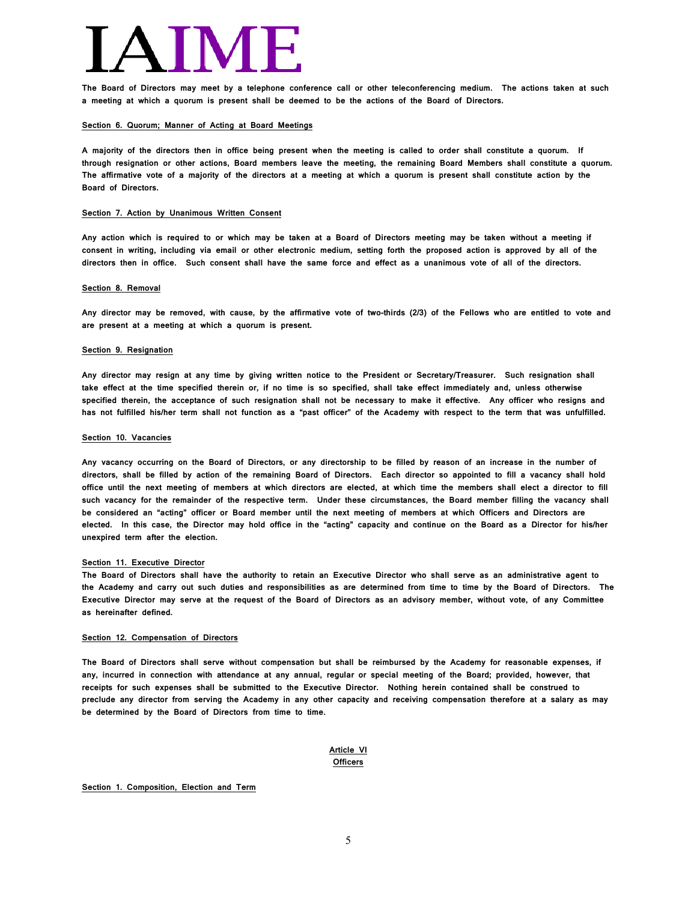**The Board of Directors may meet by a telephone conference call or other teleconferencing medium. The actions taken at such a meeting at which a quorum is present shall be deemed to be the actions of the Board of Directors.**

#### **Section 6. Quorum; Manner of Acting at Board Meetings**

**A majority of the directors then in office being present when the meeting is called to order shall constitute a quorum. If through resignation or other actions, Board members leave the meeting, the remaining Board Members shall constitute a quorum. The affirmative vote of a majority of the directors at a meeting at which a quorum is present shall constitute action by the Board of Directors.**

#### **Section 7. Action by Unanimous Written Consent**

**Any action which is required to or which may be taken at a Board of Directors meeting may be taken without a meeting if consent in writing, including via email or other electronic medium, setting forth the proposed action is approved by all of the directors then in office. Such consent shall have the same force and effect as a unanimous vote of all of the directors.**

#### **Section 8. Removal**

**Any director may be removed, with cause, by the affirmative vote of two-thirds (2/3) of the Fellows who are entitled to vote and are present at a meeting at which a quorum is present.** 

#### **Section 9. Resignation**

**Any director may resign at any time by giving written notice to the President or Secretary/Treasurer. Such resignation shall take effect at the time specified therein or, if no time is so specified, shall take effect immediately and, unless otherwise specified therein, the acceptance of such resignation shall not be necessary to make it effective. Any officer who resigns and has not fulfilled his/her term shall not function as a "past officer" of the Academy with respect to the term that was unfulfilled.**

#### **Section 10. Vacancies**

**Any vacancy occurring on the Board of Directors, or any directorship to be filled by reason of an increase in the number of directors, shall be filled by action of the remaining Board of Directors. Each director so appointed to fill a vacancy shall hold office until the next meeting of members at which directors are elected, at which time the members shall elect a director to fill such vacancy for the remainder of the respective term. Under these circumstances, the Board member filling the vacancy shall be considered an "acting" officer or Board member until the next meeting of members at which Officers and Directors are elected. In this case, the Director may hold office in the "acting" capacity and continue on the Board as a Director for his/her unexpired term after the election.**

#### **Section 11. Executive Director**

**The Board of Directors shall have the authority to retain an Executive Director who shall serve as an administrative agent to the Academy and carry out such duties and responsibilities as are determined from time to time by the Board of Directors. The Executive Director may serve at the request of the Board of Directors as an advisory member, without vote, of any Committee as hereinafter defined.**

#### **Section 12. Compensation of Directors**

**The Board of Directors shall serve without compensation but shall be reimbursed by the Academy for reasonable expenses, if any, incurred in connection with attendance at any annual, regular or special meeting of the Board; provided, however, that receipts for such expenses shall be submitted to the Executive Director. Nothing herein contained shall be construed to preclude any director from serving the Academy in any other capacity and receiving compensation therefore at a salary as may be determined by the Board of Directors from time to time.**

### **Article VI Officers**

#### **Section 1. Composition, Election and Term**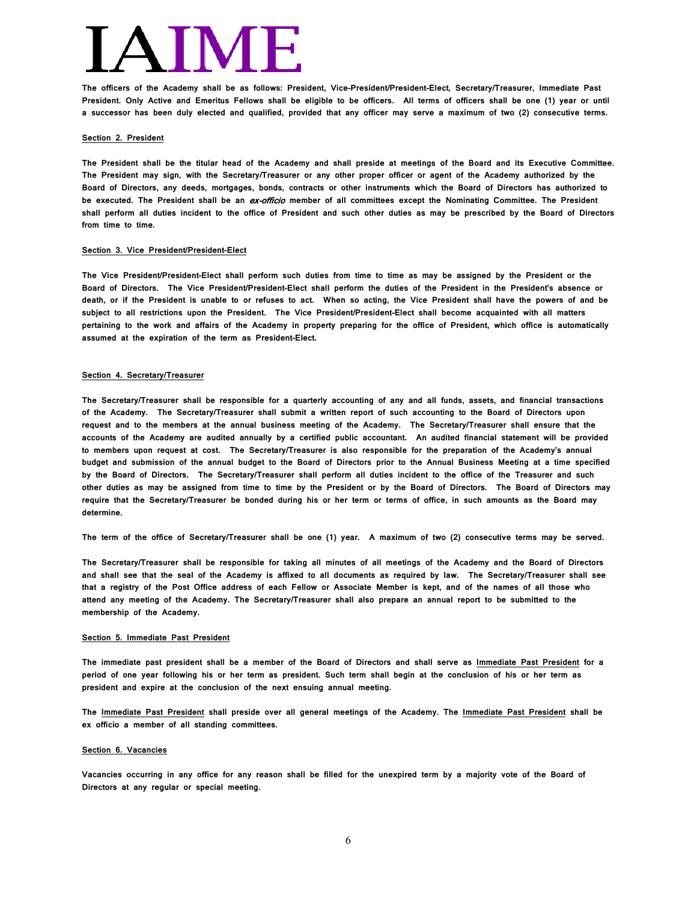**The officers of the Academy shall be as follows: President, Vice-President/President-Elect, Secretary/Treasurer, Immediate Past President. Only Active and Emeritus Fellows shall be eligible to be officers. All terms of officers shall be one (1) year or until a successor has been duly elected and qualified, provided that any officer may serve a maximum of two (2) consecutive terms.**

#### **Section 2. President**

**The President shall be the titular head of the Academy and shall preside at meetings of the Board and its Executive Committee. The President may sign, with the Secretary/Treasurer or any other proper officer or agent of the Academy authorized by the Board of Directors, any deeds, mortgages, bonds, contracts or other instruments which the Board of Directors has authorized to be executed. The President shall be an** ex-officio **member of all committees except the Nominating Committee. The President shall perform all duties incident to the office of President and such other duties as may be prescribed by the Board of Directors from time to time.**

#### **Section 3. Vice President/President-Elect**

**The Vice President/President-Elect shall perform such duties from time to time as may be assigned by the President or the Board of Directors. The Vice President/President-Elect shall perform the duties of the President in the President's absence or death, or if the President is unable to or refuses to act. When so acting, the Vice President shall have the powers of and be subject to all restrictions upon the President. The Vice President/President-Elect shall become acquainted with all matters pertaining to the work and affairs of the Academy in property preparing for the office of President, which office is automatically assumed at the expiration of the term as President-Elect.** 

#### **Section 4. Secretary/Treasurer**

**The Secretary/Treasurer shall be responsible for a quarterly accounting of any and all funds, assets, and financial transactions of the Academy. The Secretary/Treasurer shall submit a written report of such accounting to the Board of Directors upon request and to the members at the annual business meeting of the Academy. The Secretary/Treasurer shall ensure that the accounts of the Academy are audited annually by a certified public accountant. An audited financial statement will be provided to members upon request at cost. The Secretary/Treasurer is also responsible for the preparation of the Academy's annual budget and submission of the annual budget to the Board of Directors prior to the Annual Business Meeting at a time specified by the Board of Directors. The Secretary/Treasurer shall perform all duties incident to the office of the Treasurer and such other duties as may be assigned from time to time by the President or by the Board of Directors. The Board of Directors may require that the Secretary/Treasurer be bonded during his or her term or terms of office, in such amounts as the Board may determine.** 

**The term of the office of Secretary/Treasurer shall be one (1) year. A maximum of two (2) consecutive terms may be served.**

**The Secretary/Treasurer shall be responsible for taking all minutes of all meetings of the Academy and the Board of Directors and shall see that the seal of the Academy is affixed to all documents as required by law. The Secretary/Treasurer shall see that a registry of the Post Office address of each Fellow or Associate Member is kept, and of the names of all those who attend any meeting of the Academy. The Secretary/Treasurer shall also prepare an annual report to be submitted to the membership of the Academy.**

#### **Section 5. Immediate Past President**

**The immediate past president shall be a member of the Board of Directors and shall serve as Immediate Past President for a period of one year following his or her term as president. Such term shall begin at the conclusion of his or her term as president and expire at the conclusion of the next ensuing annual meeting.** 

**The Immediate Past President shall preside over all general meetings of the Academy. The Immediate Past President shall be ex officio a member of all standing committees.**

#### **Section 6. Vacancies**

**Vacancies occurring in any office for any reason shall be filled for the unexpired term by a majority vote of the Board of Directors at any regular or special meeting.**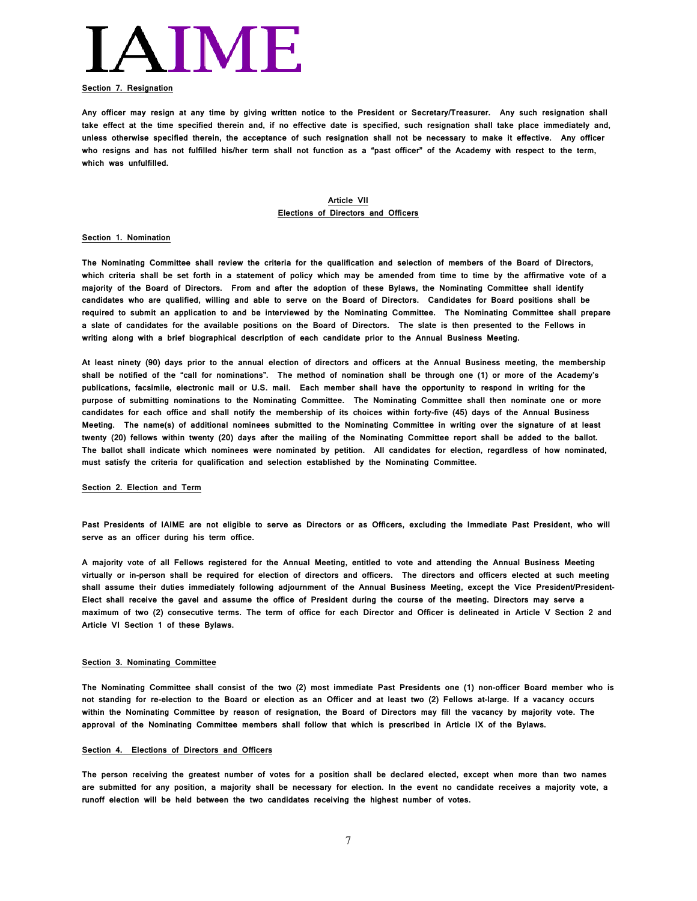

#### **Section 7. Resignation**

**Any officer may resign at any time by giving written notice to the President or Secretary/Treasurer. Any such resignation shall take effect at the time specified therein and, if no effective date is specified, such resignation shall take place immediately and, unless otherwise specified therein, the acceptance of such resignation shall not be necessary to make it effective. Any officer who resigns and has not fulfilled his/her term shall not function as a "past officer" of the Academy with respect to the term, which was unfulfilled.**

#### **Article VII Elections of Directors and Officers**

#### **Section 1. Nomination**

**The Nominating Committee shall review the criteria for the qualification and selection of members of the Board of Directors, which criteria shall be set forth in a statement of policy which may be amended from time to time by the affirmative vote of a majority of the Board of Directors. From and after the adoption of these Bylaws, the Nominating Committee shall identify candidates who are qualified, willing and able to serve on the Board of Directors. Candidates for Board positions shall be required to submit an application to and be interviewed by the Nominating Committee. The Nominating Committee shall prepare a slate of candidates for the available positions on the Board of Directors. The slate is then presented to the Fellows in writing along with a brief biographical description of each candidate prior to the Annual Business Meeting.**

**At least ninety (90) days prior to the annual election of directors and officers at the Annual Business meeting, the membership shall be notified of the "call for nominations". The method of nomination shall be through one (1) or more of the Academy's publications, facsimile, electronic mail or U.S. mail. Each member shall have the opportunity to respond in writing for the purpose of submitting nominations to the Nominating Committee. The Nominating Committee shall then nominate one or more candidates for each office and shall notify the membership of its choices within forty-five (45) days of the Annual Business Meeting. The name(s) of additional nominees submitted to the Nominating Committee in writing over the signature of at least twenty (20) fellows within twenty (20) days after the mailing of the Nominating Committee report shall be added to the ballot. The ballot shall indicate which nominees were nominated by petition. All candidates for election, regardless of how nominated, must satisfy the criteria for qualification and selection established by the Nominating Committee.**

#### **Section 2. Election and Term**

**Past Presidents of IAIME are not eligible to serve as Directors or as Officers, excluding the Immediate Past President, who will serve as an officer during his term office.** 

**A majority vote of all Fellows registered for the Annual Meeting, entitled to vote and attending the Annual Business Meeting virtually or in-person shall be required for election of directors and officers. The directors and officers elected at such meeting shall assume their duties immediately following adjournment of the Annual Business Meeting, except the Vice President/President-Elect shall receive the gavel and assume the office of President during the course of the meeting. Directors may serve a maximum of two (2) consecutive terms. The term of office for each Director and Officer is delineated in Article V Section 2 and Article VI Section 1 of these Bylaws.**

#### **Section 3. Nominating Committee**

**The Nominating Committee shall consist of the two (2) most immediate Past Presidents one (1) non-officer Board member who is not standing for re-election to the Board or election as an Officer and at least two (2) Fellows at-large. If a vacancy occurs within the Nominating Committee by reason of resignation, the Board of Directors may fill the vacancy by majority vote. The approval of the Nominating Committee members shall follow that which is prescribed in Article IX of the Bylaws.** 

#### **Section 4. Elections of Directors and Officers**

**The person receiving the greatest number of votes for a position shall be declared elected, except when more than two names are submitted for any position, a majority shall be necessary for election. In the event no candidate receives a majority vote, a runoff election will be held between the two candidates receiving the highest number of votes.**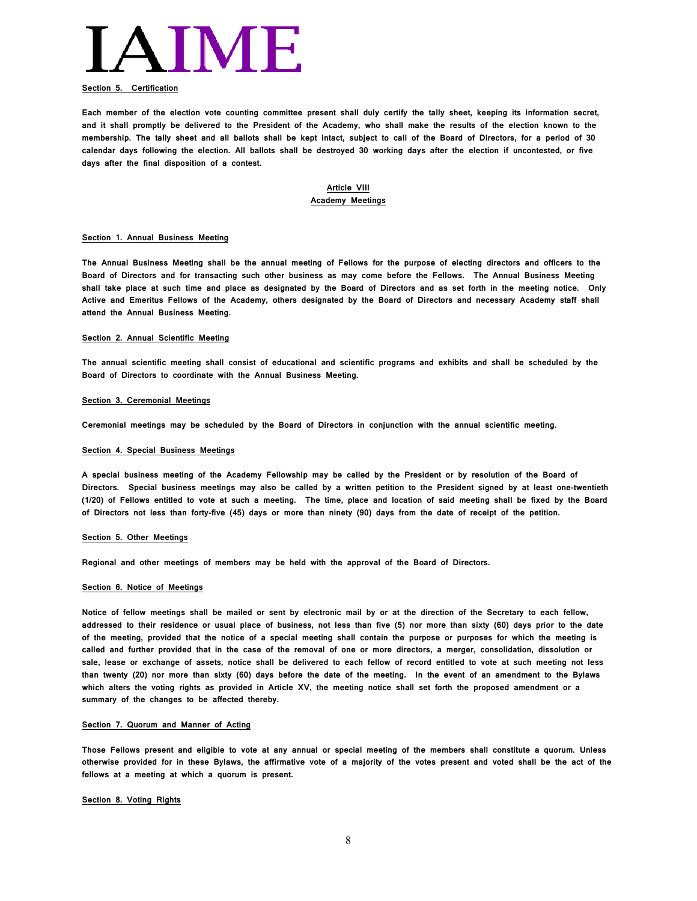

#### **Section 5. Certification**

**Each member of the election vote counting committee present shall duly certify the tally sheet, keeping its information secret, and it shall promptly be delivered to the President of the Academy, who shall make the results of the election known to the membership. The tally sheet and all ballots shall be kept intact, subject to call of the Board of Directors, for a period of 30 calendar days following the election. All ballots shall be destroyed 30 working days after the election if uncontested, or five days after the final disposition of a contest.**

#### **Article VIII Academy Meetings**

#### **Section 1. Annual Business Meeting**

**The Annual Business Meeting shall be the annual meeting of Fellows for the purpose of electing directors and officers to the Board of Directors and for transacting such other business as may come before the Fellows. The Annual Business Meeting shall take place at such time and place as designated by the Board of Directors and as set forth in the meeting notice. Only Active and Emeritus Fellows of the Academy, others designated by the Board of Directors and necessary Academy staff shall attend the Annual Business Meeting.**

#### **Section 2. Annual Scientific Meeting**

**The annual scientific meeting shall consist of educational and scientific programs and exhibits and shall be scheduled by the Board of Directors to coordinate with the Annual Business Meeting.** 

#### **Section 3. Ceremonial Meetings**

**Ceremonial meetings may be scheduled by the Board of Directors in conjunction with the annual scientific meeting.**

#### **Section 4. Special Business Meetings**

**A special business meeting of the Academy Fellowship may be called by the President or by resolution of the Board of Directors. Special business meetings may also be called by a written petition to the President signed by at least one-twentieth (1/20) of Fellows entitled to vote at such a meeting. The time, place and location of said meeting shall be fixed by the Board of Directors not less than forty-five (45) days or more than ninety (90) days from the date of receipt of the petition.**

#### **Section 5. Other Meetings**

**Regional and other meetings of members may be held with the approval of the Board of Directors.**

#### **Section 6. Notice of Meetings**

**Notice of fellow meetings shall be mailed or sent by electronic mail by or at the direction of the Secretary to each fellow, addressed to their residence or usual place of business, not less than five (5) nor more than sixty (60) days prior to the date of the meeting, provided that the notice of a special meeting shall contain the purpose or purposes for which the meeting is called and further provided that in the case of the removal of one or more directors, a merger, consolidation, dissolution or sale, lease or exchange of assets, notice shall be delivered to each fellow of record entitled to vote at such meeting not less than twenty (20) nor more than sixty (60) days before the date of the meeting. In the event of an amendment to the Bylaws which alters the voting rights as provided in Article XV, the meeting notice shall set forth the proposed amendment or a summary of the changes to be affected thereby.**

#### **Section 7. Quorum and Manner of Acting**

**Those Fellows present and eligible to vote at any annual or special meeting of the members shall constitute a quorum. Unless otherwise provided for in these Bylaws, the affirmative vote of a majority of the votes present and voted shall be the act of the fellows at a meeting at which a quorum is present.** 

#### **Section 8. Voting Rights**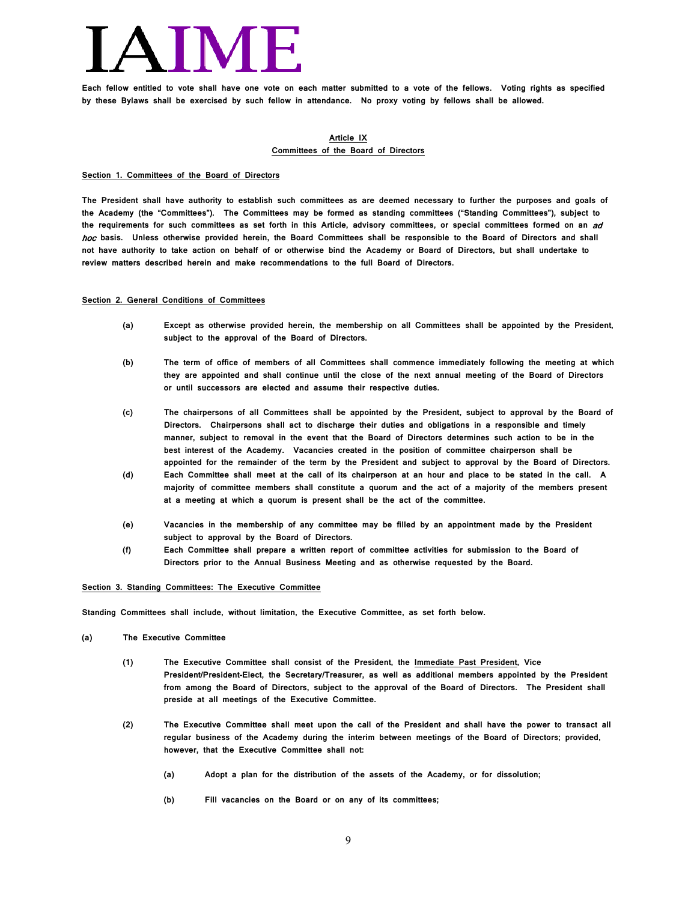**Each fellow entitled to vote shall have one vote on each matter submitted to a vote of the fellows. Voting rights as specified by these Bylaws shall be exercised by such fellow in attendance. No proxy voting by fellows shall be allowed.**

#### **Article IX Committees of the Board of Directors**

#### **Section 1. Committees of the Board of Directors**

**The President shall have authority to establish such committees as are deemed necessary to further the purposes and goals of the Academy (the "Committees"). The Committees may be formed as standing committees ("Standing Committees"), subject to the requirements for such committees as set forth in this Article, advisory committees, or special committees formed on an** ad hoc **basis. Unless otherwise provided herein, the Board Committees shall be responsible to the Board of Directors and shall not have authority to take action on behalf of or otherwise bind the Academy or Board of Directors, but shall undertake to review matters described herein and make recommendations to the full Board of Directors.**

#### **Section 2. General Conditions of Committees**

- **(a) Except as otherwise provided herein, the membership on all Committees shall be appointed by the President, subject to the approval of the Board of Directors.**
- **(b) The term of office of members of all Committees shall commence immediately following the meeting at which they are appointed and shall continue until the close of the next annual meeting of the Board of Directors or until successors are elected and assume their respective duties.**
- **(c) The chairpersons of all Committees shall be appointed by the President, subject to approval by the Board of Directors. Chairpersons shall act to discharge their duties and obligations in a responsible and timely manner, subject to removal in the event that the Board of Directors determines such action to be in the best interest of the Academy. Vacancies created in the position of committee chairperson shall be appointed for the remainder of the term by the President and subject to approval by the Board of Directors.**
- **(d) Each Committee shall meet at the call of its chairperson at an hour and place to be stated in the call. A majority of committee members shall constitute a quorum and the act of a majority of the members present at a meeting at which a quorum is present shall be the act of the committee.**
- **(e) Vacancies in the membership of any committee may be filled by an appointment made by the President subject to approval by the Board of Directors.**
- **(f) Each Committee shall prepare a written report of committee activities for submission to the Board of Directors prior to the Annual Business Meeting and as otherwise requested by the Board.**

#### **Section 3. Standing Committees: The Executive Committee**

**Standing Committees shall include, without limitation, the Executive Committee, as set forth below.**

- **(a) The Executive Committee**
	- **(1) The Executive Committee shall consist of the President, the Immediate Past President, Vice President/President-Elect, the Secretary/Treasurer, as well as additional members appointed by the President from among the Board of Directors, subject to the approval of the Board of Directors. The President shall preside at all meetings of the Executive Committee.**
	- **(2) The Executive Committee shall meet upon the call of the President and shall have the power to transact all regular business of the Academy during the interim between meetings of the Board of Directors; provided, however, that the Executive Committee shall not:**
		- **(a) Adopt a plan for the distribution of the assets of the Academy, or for dissolution;**
		- **(b) Fill vacancies on the Board or on any of its committees;**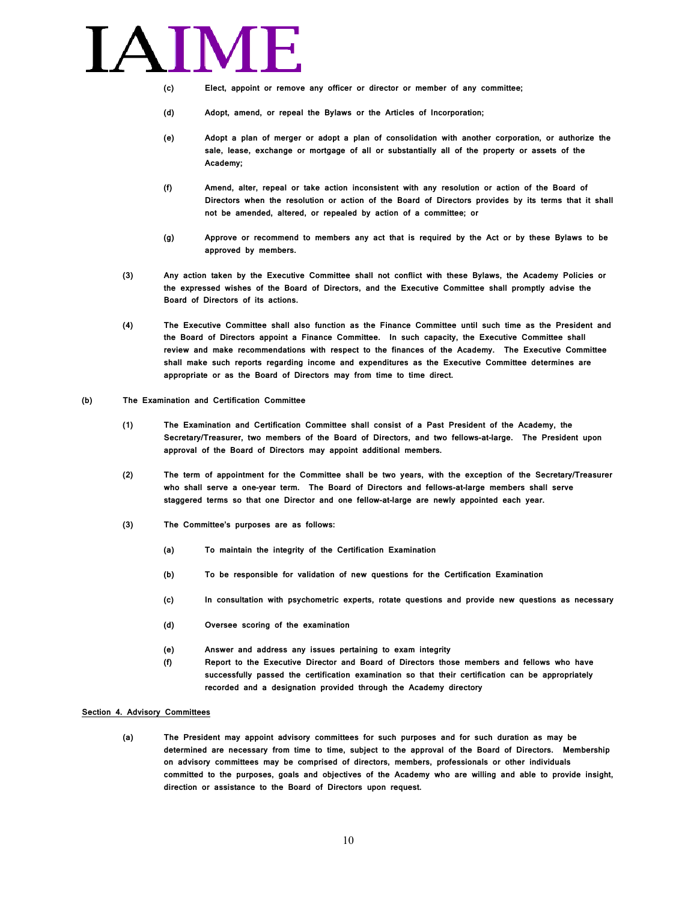

- **(c) Elect, appoint or remove any officer or director or member of any committee;**
- **(d) Adopt, amend, or repeal the Bylaws or the Articles of Incorporation;**
- **(e) Adopt a plan of merger or adopt a plan of consolidation with another corporation, or authorize the sale, lease, exchange or mortgage of all or substantially all of the property or assets of the Academy;**
- **(f) Amend, alter, repeal or take action inconsistent with any resolution or action of the Board of Directors when the resolution or action of the Board of Directors provides by its terms that it shall not be amended, altered, or repealed by action of a committee; or**
- **(g) Approve or recommend to members any act that is required by the Act or by these Bylaws to be approved by members.**
- **(3) Any action taken by the Executive Committee shall not conflict with these Bylaws, the Academy Policies or the expressed wishes of the Board of Directors, and the Executive Committee shall promptly advise the Board of Directors of its actions.**
- **(4) The Executive Committee shall also function as the Finance Committee until such time as the President and the Board of Directors appoint a Finance Committee. In such capacity, the Executive Committee shall review and make recommendations with respect to the finances of the Academy. The Executive Committee shall make such reports regarding income and expenditures as the Executive Committee determines are appropriate or as the Board of Directors may from time to time direct.**
- **(b) The Examination and Certification Committee**
	- **(1) The Examination and Certification Committee shall consist of a Past President of the Academy, the Secretary/Treasurer, two members of the Board of Directors, and two fellows-at-large. The President upon approval of the Board of Directors may appoint additional members.**
	- **(2) The term of appointment for the Committee shall be two years, with the exception of the Secretary/Treasurer who shall serve a one-year term. The Board of Directors and fellows-at-large members shall serve staggered terms so that one Director and one fellow-at-large are newly appointed each year.**
	- **(3) The Committee's purposes are as follows:**
		- **(a) To maintain the integrity of the Certification Examination**
		- **(b) To be responsible for validation of new questions for the Certification Examination**
		- **(c) In consultation with psychometric experts, rotate questions and provide new questions as necessary**
		- **(d) Oversee scoring of the examination**
		- **(e) Answer and address any issues pertaining to exam integrity**
		- **(f) Report to the Executive Director and Board of Directors those members and fellows who have successfully passed the certification examination so that their certification can be appropriately recorded and a designation provided through the Academy directory**

#### **Section 4. Advisory Committees**

**(a) The President may appoint advisory committees for such purposes and for such duration as may be determined are necessary from time to time, subject to the approval of the Board of Directors. Membership on advisory committees may be comprised of directors, members, professionals or other individuals committed to the purposes, goals and objectives of the Academy who are willing and able to provide insight, direction or assistance to the Board of Directors upon request.**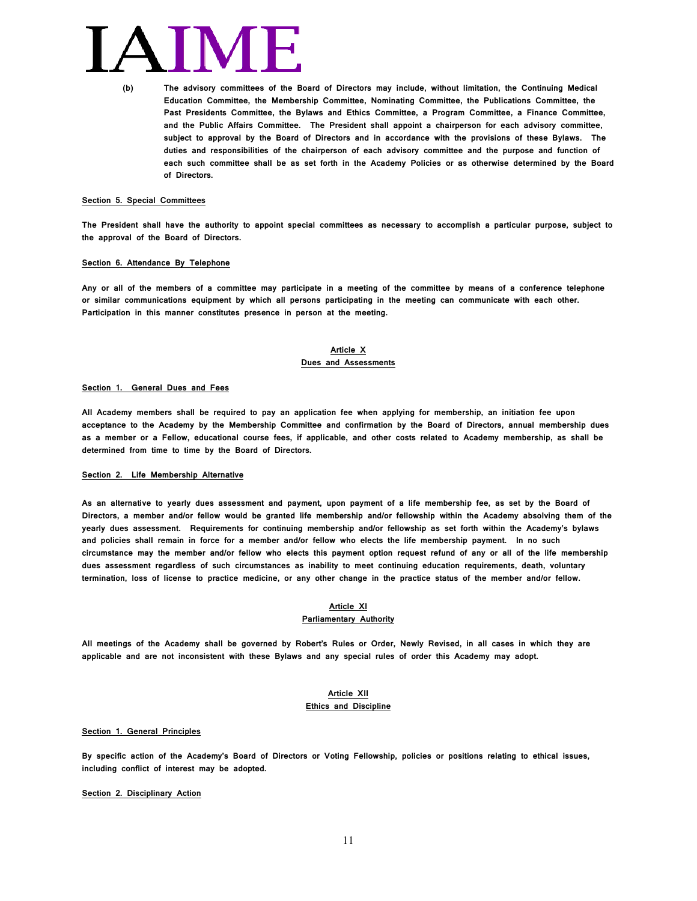**(b) The advisory committees of the Board of Directors may include, without limitation, the Continuing Medical Education Committee, the Membership Committee, Nominating Committee, the Publications Committee, the Past Presidents Committee, the Bylaws and Ethics Committee, a Program Committee, a Finance Committee, and the Public Affairs Committee. The President shall appoint a chairperson for each advisory committee, subject to approval by the Board of Directors and in accordance with the provisions of these Bylaws. The duties and responsibilities of the chairperson of each advisory committee and the purpose and function of each such committee shall be as set forth in the Academy Policies or as otherwise determined by the Board of Directors.**

#### **Section 5. Special Committees**

**The President shall have the authority to appoint special committees as necessary to accomplish a particular purpose, subject to the approval of the Board of Directors.**

#### **Section 6. Attendance By Telephone**

**Any or all of the members of a committee may participate in a meeting of the committee by means of a conference telephone or similar communications equipment by which all persons participating in the meeting can communicate with each other. Participation in this manner constitutes presence in person at the meeting.**

#### **Article X Dues and Assessments**

#### **Section 1. General Dues and Fees**

**All Academy members shall be required to pay an application fee when applying for membership, an initiation fee upon acceptance to the Academy by the Membership Committee and confirmation by the Board of Directors, annual membership dues as a member or a Fellow, educational course fees, if applicable, and other costs related to Academy membership, as shall be determined from time to time by the Board of Directors.**

#### **Section 2. Life Membership Alternative**

**As an alternative to yearly dues assessment and payment, upon payment of a life membership fee, as set by the Board of Directors, a member and/or fellow would be granted life membership and/or fellowship within the Academy absolving them of the yearly dues assessment. Requirements for continuing membership and/or fellowship as set forth within the Academy's bylaws and policies shall remain in force for a member and/or fellow who elects the life membership payment. In no such circumstance may the member and/or fellow who elects this payment option request refund of any or all of the life membership dues assessment regardless of such circumstances as inability to meet continuing education requirements, death, voluntary termination, loss of license to practice medicine, or any other change in the practice status of the member and/or fellow.**

#### **Article XI**

#### **Parliamentary Authority**

**All meetings of the Academy shall be governed by Robert's Rules or Order, Newly Revised, in all cases in which they are applicable and are not inconsistent with these Bylaws and any special rules of order this Academy may adopt.**

### **Article XII Ethics and Discipline**

#### **Section 1. General Principles**

**By specific action of the Academy's Board of Directors or Voting Fellowship, policies or positions relating to ethical issues, including conflict of interest may be adopted.** 

#### **Section 2. Disciplinary Action**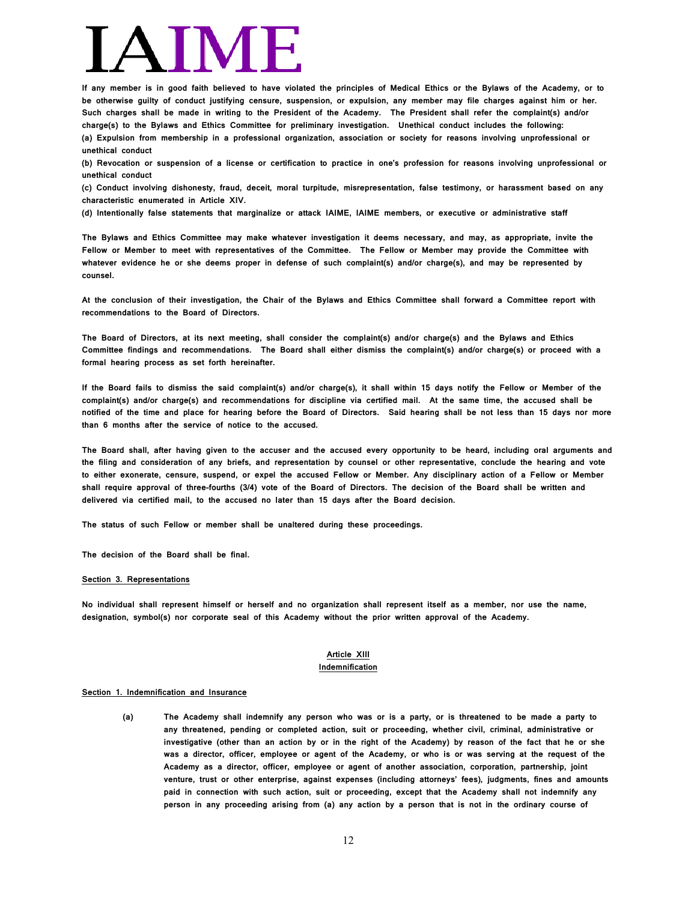**If any member is in good faith believed to have violated the principles of Medical Ethics or the Bylaws of the Academy, or to be otherwise guilty of conduct justifying censure, suspension, or expulsion, any member may file charges against him or her. Such charges shall be made in writing to the President of the Academy. The President shall refer the complaint(s) and/or charge(s) to the Bylaws and Ethics Committee for preliminary investigation. Unethical conduct includes the following: (a) Expulsion from membership in a professional organization, association or society for reasons involving unprofessional or unethical conduct**

**(b) Revocation or suspension of a license or certification to practice in one's profession for reasons involving unprofessional or unethical conduct**

**(c) Conduct involving dishonesty, fraud, deceit, moral turpitude, misrepresentation, false testimony, or harassment based on any characteristic enumerated in Article XIV.**

**(d) Intentionally false statements that marginalize or attack IAIME, IAIME members, or executive or administrative staff**

**The Bylaws and Ethics Committee may make whatever investigation it deems necessary, and may, as appropriate, invite the Fellow or Member to meet with representatives of the Committee. The Fellow or Member may provide the Committee with whatever evidence he or she deems proper in defense of such complaint(s) and/or charge(s), and may be represented by counsel.**

**At the conclusion of their investigation, the Chair of the Bylaws and Ethics Committee shall forward a Committee report with recommendations to the Board of Directors.**

**The Board of Directors, at its next meeting, shall consider the complaint(s) and/or charge(s) and the Bylaws and Ethics Committee findings and recommendations. The Board shall either dismiss the complaint(s) and/or charge(s) or proceed with a formal hearing process as set forth hereinafter.**

**If the Board fails to dismiss the said complaint(s) and/or charge(s), it shall within 15 days notify the Fellow or Member of the complaint(s) and/or charge(s) and recommendations for discipline via certified mail. At the same time, the accused shall be notified of the time and place for hearing before the Board of Directors. Said hearing shall be not less than 15 days nor more than 6 months after the service of notice to the accused.** 

**The Board shall, after having given to the accuser and the accused every opportunity to be heard, including oral arguments and the filing and consideration of any briefs, and representation by counsel or other representative, conclude the hearing and vote to either exonerate, censure, suspend, or expel the accused Fellow or Member. Any disciplinary action of a Fellow or Member shall require approval of three-fourths (3/4) vote of the Board of Directors. The decision of the Board shall be written and delivered via certified mail, to the accused no later than 15 days after the Board decision.**

**The status of such Fellow or member shall be unaltered during these proceedings.**

**The decision of the Board shall be final.**

#### **Section 3. Representations**

**No individual shall represent himself or herself and no organization shall represent itself as a member, nor use the name, designation, symbol(s) nor corporate seal of this Academy without the prior written approval of the Academy.**

#### **Article XIII Indemnification**

#### **Section 1. Indemnification and Insurance**

**(a) The Academy shall indemnify any person who was or is a party, or is threatened to be made a party to any threatened, pending or completed action, suit or proceeding, whether civil, criminal, administrative or investigative (other than an action by or in the right of the Academy) by reason of the fact that he or she was a director, officer, employee or agent of the Academy, or who is or was serving at the request of the Academy as a director, officer, employee or agent of another association, corporation, partnership, joint venture, trust or other enterprise, against expenses (including attorneys' fees), judgments, fines and amounts paid in connection with such action, suit or proceeding, except that the Academy shall not indemnify any person in any proceeding arising from (a) any action by a person that is not in the ordinary course of**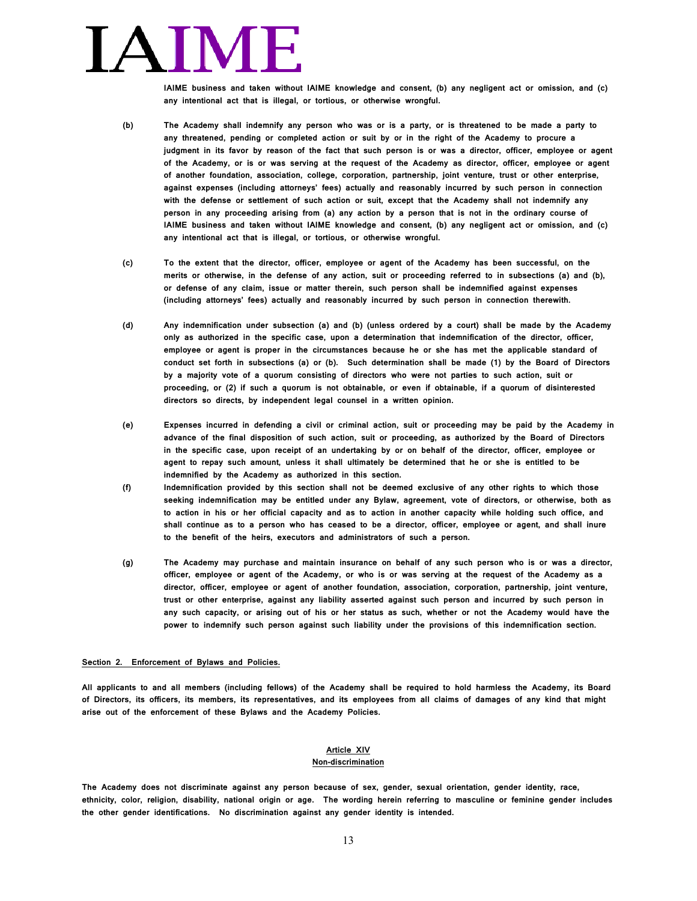# AIM

**IAIME business and taken without IAIME knowledge and consent, (b) any negligent act or omission, and (c) any intentional act that is illegal, or tortious, or otherwise wrongful.** 

- **(b) The Academy shall indemnify any person who was or is a party, or is threatened to be made a party to any threatened, pending or completed action or suit by or in the right of the Academy to procure a judgment in its favor by reason of the fact that such person is or was a director, officer, employee or agent of the Academy, or is or was serving at the request of the Academy as director, officer, employee or agent of another foundation, association, college, corporation, partnership, joint venture, trust or other enterprise, against expenses (including attorneys' fees) actually and reasonably incurred by such person in connection with the defense or settlement of such action or suit, except that the Academy shall not indemnify any person in any proceeding arising from (a) any action by a person that is not in the ordinary course of IAIME business and taken without IAIME knowledge and consent, (b) any negligent act or omission, and (c) any intentional act that is illegal, or tortious, or otherwise wrongful.**
- **(c) To the extent that the director, officer, employee or agent of the Academy has been successful, on the merits or otherwise, in the defense of any action, suit or proceeding referred to in subsections (a) and (b), or defense of any claim, issue or matter therein, such person shall be indemnified against expenses (including attorneys' fees) actually and reasonably incurred by such person in connection therewith.**
- **(d) Any indemnification under subsection (a) and (b) (unless ordered by a court) shall be made by the Academy only as authorized in the specific case, upon a determination that indemnification of the director, officer, employee or agent is proper in the circumstances because he or she has met the applicable standard of conduct set forth in subsections (a) or (b). Such determination shall be made (1) by the Board of Directors by a majority vote of a quorum consisting of directors who were not parties to such action, suit or proceeding, or (2) if such a quorum is not obtainable, or even if obtainable, if a quorum of disinterested directors so directs, by independent legal counsel in a written opinion.**
- **(e) Expenses incurred in defending a civil or criminal action, suit or proceeding may be paid by the Academy in advance of the final disposition of such action, suit or proceeding, as authorized by the Board of Directors in the specific case, upon receipt of an undertaking by or on behalf of the director, officer, employee or agent to repay such amount, unless it shall ultimately be determined that he or she is entitled to be indemnified by the Academy as authorized in this section.**
- **(f) Indemnification provided by this section shall not be deemed exclusive of any other rights to which those seeking indemnification may be entitled under any Bylaw, agreement, vote of directors, or otherwise, both as to action in his or her official capacity and as to action in another capacity while holding such office, and shall continue as to a person who has ceased to be a director, officer, employee or agent, and shall inure to the benefit of the heirs, executors and administrators of such a person.**
- **(g) The Academy may purchase and maintain insurance on behalf of any such person who is or was a director, officer, employee or agent of the Academy, or who is or was serving at the request of the Academy as a director, officer, employee or agent of another foundation, association, corporation, partnership, joint venture, trust or other enterprise, against any liability asserted against such person and incurred by such person in any such capacity, or arising out of his or her status as such, whether or not the Academy would have the power to indemnify such person against such liability under the provisions of this indemnification section.**

#### **Section 2. Enforcement of Bylaws and Policies.**

**All applicants to and all members (including fellows) of the Academy shall be required to hold harmless the Academy, its Board of Directors, its officers, its members, its representatives, and its employees from all claims of damages of any kind that might arise out of the enforcement of these Bylaws and the Academy Policies.**

#### **Article XIV Non-discrimination**

**The Academy does not discriminate against any person because of sex, gender, sexual orientation, gender identity, race, ethnicity, color, religion, disability, national origin or age. The wording herein referring to masculine or feminine gender includes the other gender identifications. No discrimination against any gender identity is intended.**